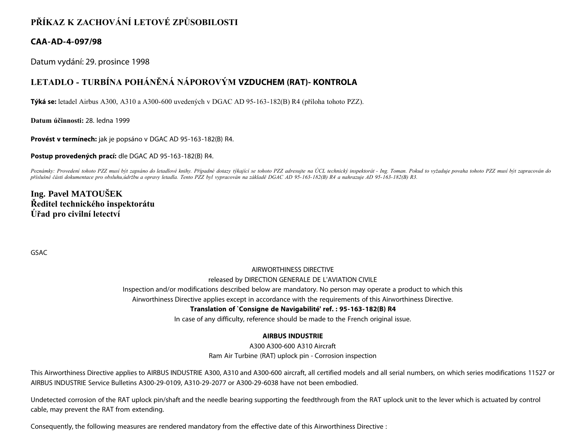# **PŘÍKAZ K ZACHOVÁNÍ LETOVÉ ZPŮSOBILOSTI**

### **CAA-AD-4-097/98**

Datum vydání: 29. prosince 1998

## **LETADLO - TURBÍNA POHÁNĚNÁ NÁPOROVÝM VZDUCHEM (RAT)- KONTROLA**

**Týká se:** letadel Airbus A300, A310 a A300-600 uvedených v DGAC AD 95-163-182(B) R4 (příloha tohoto PZZ).

**Datum účinnosti:** 28. ledna 1999

**Provést v termínech:** jak je popsáno v DGAC AD 95-163-182(B) R4.

**Postup provedených prací:** dle DGAC AD 95-163-182(B) R4.

Poznámky: Provedení tohoto PZZ musí být zapsáno do letadlové knihy. Případné dotazy týkající se tohoto PZZ adresujte na ÚCL technický inspektorát - Ing. Toman. Pokud to vyžaduje povaha tohoto PZZ musí být zapracován do *příslušné části dokumentace pro obsluhu,údržbu a opravy letadla. Tento PZZ byl vypracován na základě DGAC AD 95-163-182(B) R4 a nahrazuje AD 95-163-182(B) R3.*

## **Ing. Pavel MATOUŠEK Ředitel technického inspektorátu Úřad pro civilní letectví**

GSAC

### AIRWORTHINESS DIRECTIVE

#### released by DIRECTION GENERALE DE L'AVIATION CIVILE

Inspection and/or modifications described below are mandatory. No person may operate a product to which this

Airworthiness Directive applies except in accordance with the requirements of this Airworthiness Directive.

### **Translation of `Consigne de Navigabilité' ref. : 95-163-182(B) R4**

In case of any difficulty, reference should be made to the French original issue.

### **AIRBUS INDUSTRIE**

A300 A300-600 A310 Aircraft Ram Air Turbine (RAT) uplock pin - Corrosion inspection

This Airworthiness Directive applies to AIRBUS INDUSTRIE A300, A310 and A300-600 aircraft, all certified models and all serial numbers, on which series modifications 11527 or AIRBUS INDUSTRIE Service Bulletins A300-29-0109, A310-29-2077 or A300-29-6038 have not been embodied.

Undetected corrosion of the RAT uplock pin/shaft and the needle bearing supporting the feedthrough from the RAT uplock unit to the lever which is actuated by control cable, may prevent the RAT from extending.

Consequently, the following measures are rendered mandatory from the effective date of this Airworthiness Directive :